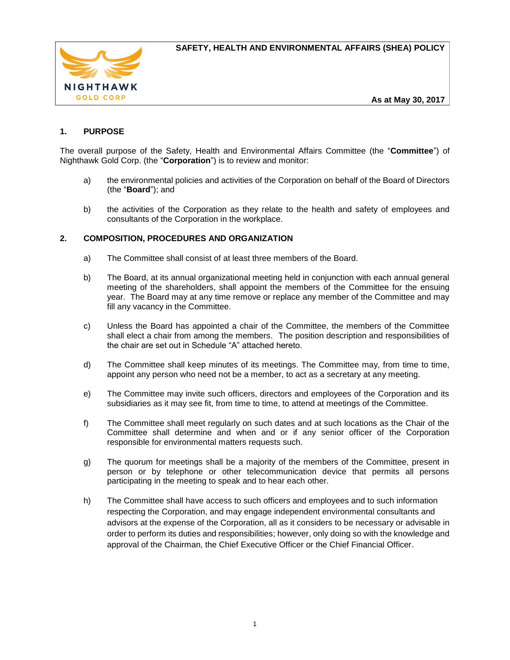

# **1. PURPOSE**

The overall purpose of the Safety, Health and Environmental Affairs Committee (the "**Committee**") of Nighthawk Gold Corp. (the "**Corporation**") is to review and monitor:

- a) the environmental policies and activities of the Corporation on behalf of the Board of Directors (the "**Board**"); and
- b) the activities of the Corporation as they relate to the health and safety of employees and consultants of the Corporation in the workplace.

## **2. COMPOSITION, PROCEDURES AND ORGANIZATION**

- a) The Committee shall consist of at least three members of the Board.
- b) The Board, at its annual organizational meeting held in conjunction with each annual general meeting of the shareholders, shall appoint the members of the Committee for the ensuing year. The Board may at any time remove or replace any member of the Committee and may fill any vacancy in the Committee.
- c) Unless the Board has appointed a chair of the Committee, the members of the Committee shall elect a chair from among the members.The position description and responsibilities of the chair are set out in Schedule "A" attached hereto.
- d) The Committee shall keep minutes of its meetings. The Committee may, from time to time, appoint any person who need not be a member, to act as a secretary at any meeting.
- e) The Committee may invite such officers, directors and employees of the Corporation and its subsidiaries as it may see fit, from time to time, to attend at meetings of the Committee.
- f) The Committee shall meet regularly on such dates and at such locations as the Chair of the Committee shall determine and when and or if any senior officer of the Corporation responsible for environmental matters requests such.
- g) The quorum for meetings shall be a majority of the members of the Committee, present in person or by telephone or other telecommunication device that permits all persons participating in the meeting to speak and to hear each other.
- h) The Committee shall have access to such officers and employees and to such information respecting the Corporation, and may engage independent environmental consultants and advisors at the expense of the Corporation, all as it considers to be necessary or advisable in order to perform its duties and responsibilities; however, only doing so with the knowledge and approval of the Chairman, the Chief Executive Officer or the Chief Financial Officer.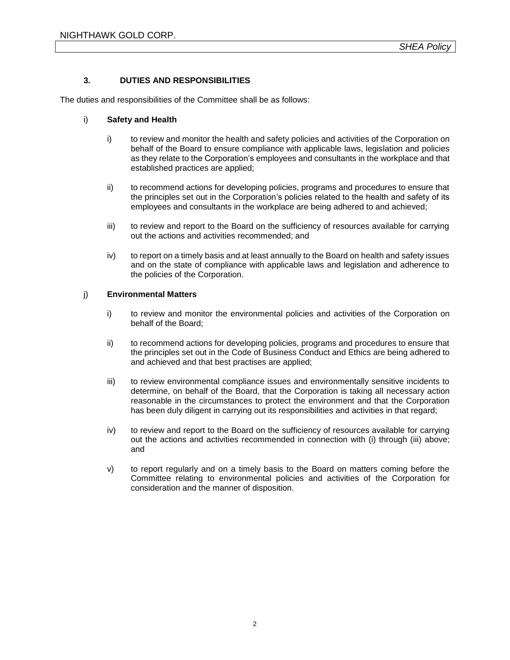### **3. DUTIES AND RESPONSIBILITIES**

The duties and responsibilities of the Committee shall be as follows:

#### i) **Safety and Health**

- i) to review and monitor the health and safety policies and activities of the Corporation on behalf of the Board to ensure compliance with applicable laws, legislation and policies as they relate to the Corporation's employees and consultants in the workplace and that established practices are applied;
- ii) to recommend actions for developing policies, programs and procedures to ensure that the principles set out in the Corporation's policies related to the health and safety of its employees and consultants in the workplace are being adhered to and achieved;
- iii) to review and report to the Board on the sufficiency of resources available for carrying out the actions and activities recommended; and
- iv) to report on a timely basis and at least annually to the Board on health and safety issues and on the state of compliance with applicable laws and legislation and adherence to the policies of the Corporation.

#### j) **Environmental Matters**

- i) to review and monitor the environmental policies and activities of the Corporation on behalf of the Board;
- ii) to recommend actions for developing policies, programs and procedures to ensure that the principles set out in the Code of Business Conduct and Ethics are being adhered to and achieved and that best practises are applied;
- iii) to review environmental compliance issues and environmentally sensitive incidents to determine, on behalf of the Board, that the Corporation is taking all necessary action reasonable in the circumstances to protect the environment and that the Corporation has been duly diligent in carrying out its responsibilities and activities in that regard;
- iv) to review and report to the Board on the sufficiency of resources available for carrying out the actions and activities recommended in connection with (i) through (iii) above; and
- v) to report regularly and on a timely basis to the Board on matters coming before the Committee relating to environmental policies and activities of the Corporation for consideration and the manner of disposition.